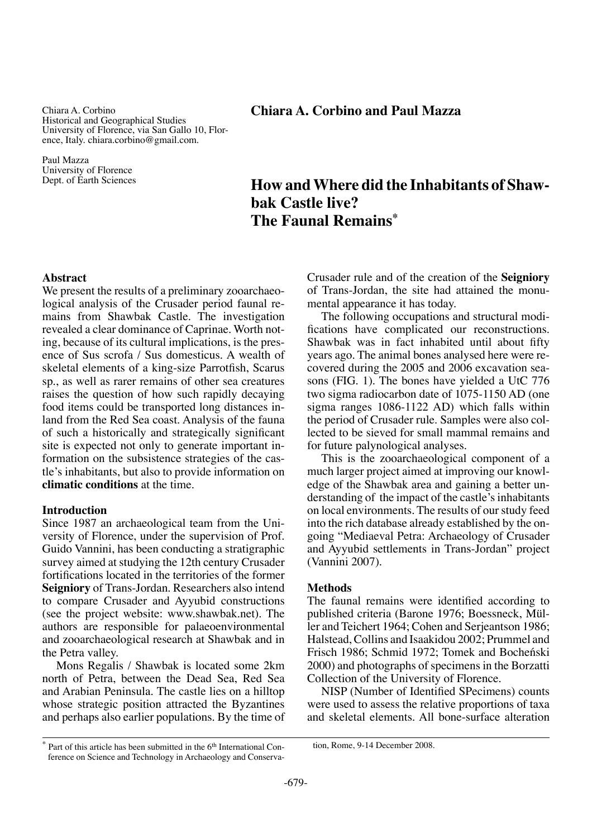Chiara A. Corbino Historical and Geographical Studies University of Florence, via San Gallo 10, Florence, Italy. chiara.corbino@gmail.com.

Paul Mazza University of Florence Dept. of Earth Sciences

# **Chiara A. Corbino and Paul Mazza**

# **How and Where did the Inhabitants of Shawbak Castle live? The Faunal Remains\***

## **Abstract**

We present the results of a preliminary zooarchaeological analysis of the Crusader period faunal remains from Shawbak Castle. The investigation revealed a clear dominance of Caprinae. Worth noting, because of its cultural implications, is the presence of Sus scrofa / Sus domesticus. A wealth of skeletal elements of a king-size Parrotfish, Scarus sp., as well as rarer remains of other sea creatures raises the question of how such rapidly decaying food items could be transported long distances inland from the Red Sea coast. Analysis of the fauna of such a historically and strategically significant site is expected not only to generate important information on the subsistence strategies of the castle's inhabitants, but also to provide information on **climatic conditions** at the time.

### **Introduction**

Since 1987 an archaeological team from the University of Florence, under the supervision of Prof. Guido Vannini, has been conducting a stratigraphic survey aimed at studying the 12th century Crusader fortifications located in the territories of the former **Seigniory** of Trans-Jordan. Researchers also intend to compare Crusader and Ayyubid constructions (see the project website: www.shawbak.net). The authors are responsible for palaeoenvironmental and zooarchaeological research at Shawbak and in the Petra valley.

Mons Regalis / Shawbak is located some 2km north of Petra, between the Dead Sea, Red Sea and Arabian Peninsula. The castle lies on a hilltop whose strategic position attracted the Byzantines and perhaps also earlier populations. By the time of Crusader rule and of the creation of the **Seigniory** of Trans-Jordan, the site had attained the monumental appearance it has today.

The following occupations and structural modifications have complicated our reconstructions. Shawbak was in fact inhabited until about fifty years ago. The animal bones analysed here were recovered during the 2005 and 2006 excavation seasons (FIG. 1). The bones have yielded a UtC 776 two sigma radiocarbon date of 1075-1150 AD (one sigma ranges 1086-1122 AD) which falls within the period of Crusader rule. Samples were also collected to be sieved for small mammal remains and for future palynological analyses.

This is the zooarchaeological component of a much larger project aimed at improving our knowledge of the Shawbak area and gaining a better understanding of the impact of the castle's inhabitants on local environments. The results of our study feed into the rich database already established by the ongoing "Mediaeval Petra: Archaeology of Crusader and Ayyubid settlements in Trans-Jordan" project (Vannini 2007).

# **Methods**

The faunal remains were identified according to published criteria (Barone 1976; Boessneck, Müller and Teichert 1964; Cohen and Serjeantson 1986; Halstead, Collins and Isaakidou 2002; Prummel and Frisch 1986; Schmid 1972; Tomek and Bocheński 2000) and photographs of specimens in the Borzatti Collection of the University of Florence.

NISP (Number of Identified SPecimens) counts were used to assess the relative proportions of taxa and skeletal elements. All bone-surface alteration

tion, Rome, 9-14 December 2008.

 $*$  Part of this article has been submitted in the  $6<sup>th</sup>$  International Conference on Science and Technology in Archaeology and Conserva-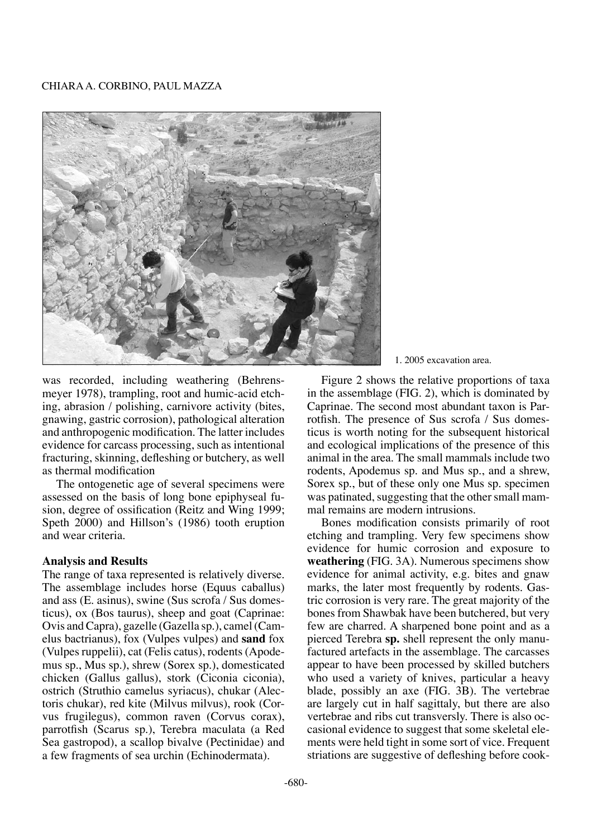# Chiara A. Corbino, Paul Mazza



was recorded, including weathering (Behrensmeyer 1978), trampling, root and humic-acid etching, abrasion / polishing, carnivore activity (bites, gnawing, gastric corrosion), pathological alteration and anthropogenic modification. The latter includes evidence for carcass processing, such as intentional fracturing, skinning, defleshing or butchery, as well as thermal modification

The ontogenetic age of several specimens were assessed on the basis of long bone epiphyseal fusion, degree of ossification (Reitz and Wing 1999; Speth 2000) and Hillson's (1986) tooth eruption and wear criteria.

### **Analysis and Results**

The range of taxa represented is relatively diverse. The assemblage includes horse (Equus caballus) and ass (E. asinus), swine (Sus scrofa / Sus domesticus), ox (Bos taurus), sheep and goat (Caprinae: Ovis and Capra), gazelle (Gazella sp.), camel (Camelus bactrianus), fox (Vulpes vulpes) and **sand** fox (Vulpes ruppelii), cat (Felis catus), rodents (Apodemus sp., Mus sp.), shrew (Sorex sp.), domesticated chicken (Gallus gallus), stork (Ciconia ciconia), ostrich (Struthio camelus syriacus), chukar (Alectoris chukar), red kite (Milvus milvus), rook (Corvus frugilegus), common raven (Corvus corax), parrotfish (Scarus sp.), Terebra maculata (a Red Sea gastropod), a scallop bivalve (Pectinidae) and a few fragments of sea urchin (Echinodermata).

### 1. 2005 excavation area.

Figure 2 shows the relative proportions of taxa in the assemblage (FIG. 2), which is dominated by Caprinae. The second most abundant taxon is Parrotfish. The presence of Sus scrofa / Sus domesticus is worth noting for the subsequent historical and ecological implications of the presence of this animal in the area. The small mammals include two rodents, Apodemus sp. and Mus sp., and a shrew, Sorex sp., but of these only one Mus sp. specimen was patinated, suggesting that the other small mammal remains are modern intrusions.

Bones modification consists primarily of root etching and trampling. Very few specimens show evidence for humic corrosion and exposure to **weathering** (FIG. 3A). Numerous specimens show evidence for animal activity, e.g. bites and gnaw marks, the later most frequently by rodents. Gastric corrosion is very rare. The great majority of the bones from Shawbak have been butchered, but very few are charred. A sharpened bone point and as a pierced Terebra **sp.** shell represent the only manufactured artefacts in the assemblage. The carcasses appear to have been processed by skilled butchers who used a variety of knives, particular a heavy blade, possibly an axe (FIG. 3B). The vertebrae are largely cut in half sagittaly, but there are also vertebrae and ribs cut transversly. There is also occasional evidence to suggest that some skeletal elements were held tight in some sort of vice. Frequent striations are suggestive of defleshing before cook-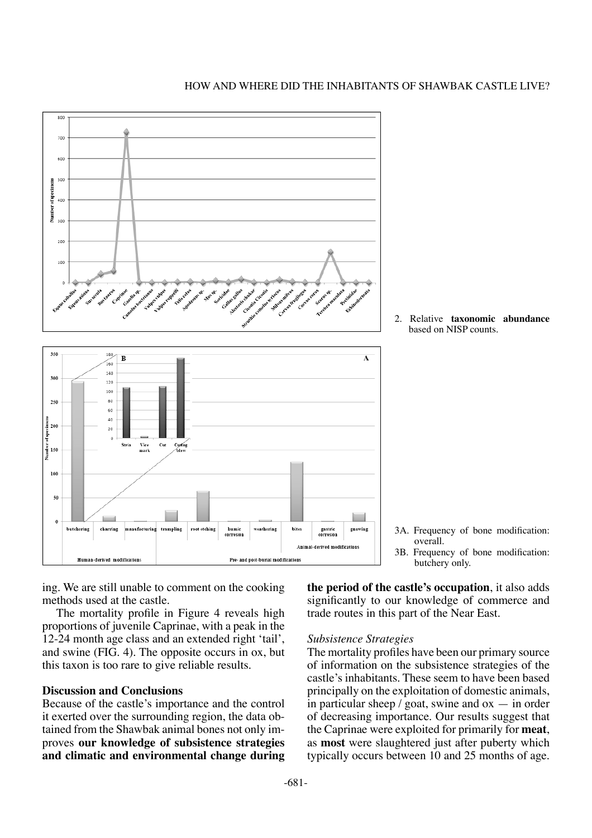

2. Relative **taxonomic abundance** based on NISP counts.

ing. We are still unable to comment on the cooking methods used at the castle.

The mortality profile in Figure 4 reveals high proportions of juvenile Caprinae, with a peak in the 12-24 month age class and an extended right 'tail', and swine (FIG. 4). The opposite occurs in ox, but this taxon is too rare to give reliable results.

# **Discussion and Conclusions**

Because of the castle's importance and the control it exerted over the surrounding region, the data obtained from the Shawbak animal bones not only improves **our knowledge of subsistence strategies and climatic and environmental change during**  3B. Frequency of bone modification: butchery only.

3A. Frequency of bone modification:

**the period of the castle's occupation**, it also adds significantly to our knowledge of commerce and trade routes in this part of the Near East.

overall.

# *Subsistence Strategies*

The mortality profiles have been our primary source of information on the subsistence strategies of the castle's inhabitants. These seem to have been based principally on the exploitation of domestic animals, in particular sheep  $\ell$  goat, swine and ox  $-$  in order of decreasing importance. Our results suggest that the Caprinae were exploited for primarily for **meat**, as **most** were slaughtered just after puberty which typically occurs between 10 and 25 months of age.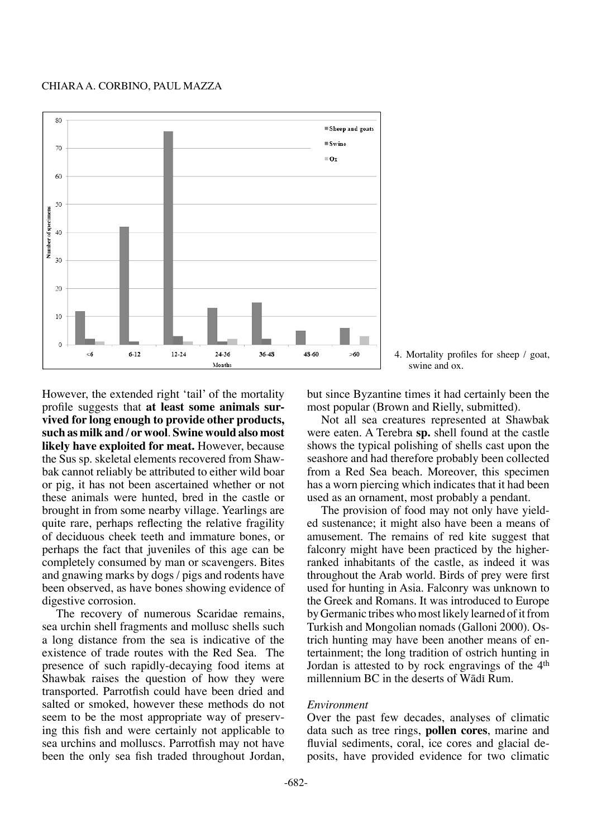#### Chiara A. Corbino, Paul Mazza





However, the extended right 'tail' of the mortality profile suggests that **at least some animals survived for long enough to provide other products, such as milk and / or wool**. **Swine would also most likely have exploited for meat.** However, because the Sus sp. skeletal elements recovered from Shawbak cannot reliably be attributed to either wild boar or pig, it has not been ascertained whether or not these animals were hunted, bred in the castle or brought in from some nearby village. Yearlings are quite rare, perhaps reflecting the relative fragility of deciduous cheek teeth and immature bones, or perhaps the fact that juveniles of this age can be completely consumed by man or scavengers. Bites and gnawing marks by dogs / pigs and rodents have been observed, as have bones showing evidence of digestive corrosion.

The recovery of numerous Scaridae remains, sea urchin shell fragments and mollusc shells such a long distance from the sea is indicative of the existence of trade routes with the Red Sea. The presence of such rapidly-decaying food items at Shawbak raises the question of how they were transported. Parrotfish could have been dried and salted or smoked, however these methods do not seem to be the most appropriate way of preserving this fish and were certainly not applicable to sea urchins and molluscs. Parrotfish may not have been the only sea fish traded throughout Jordan, but since Byzantine times it had certainly been the most popular (Brown and Rielly, submitted).

Not all sea creatures represented at Shawbak were eaten. A Terebra **sp.** shell found at the castle shows the typical polishing of shells cast upon the seashore and had therefore probably been collected from a Red Sea beach. Moreover, this specimen has a worn piercing which indicates that it had been used as an ornament, most probably a pendant.

The provision of food may not only have yielded sustenance; it might also have been a means of amusement. The remains of red kite suggest that falconry might have been practiced by the higherranked inhabitants of the castle, as indeed it was throughout the Arab world. Birds of prey were first used for hunting in Asia. Falconry was unknown to the Greek and Romans. It was introduced to Europe by Germanic tribes who most likely learned of it from Turkish and Mongolian nomads (Galloni 2000). Ostrich hunting may have been another means of entertainment; the long tradition of ostrich hunting in Jordan is attested to by rock engravings of the 4<sup>th</sup> millennium BC in the deserts of Wādī Rum.

### *Environment*

Over the past few decades, analyses of climatic data such as tree rings, **pollen cores**, marine and fluvial sediments, coral, ice cores and glacial deposits, have provided evidence for two climatic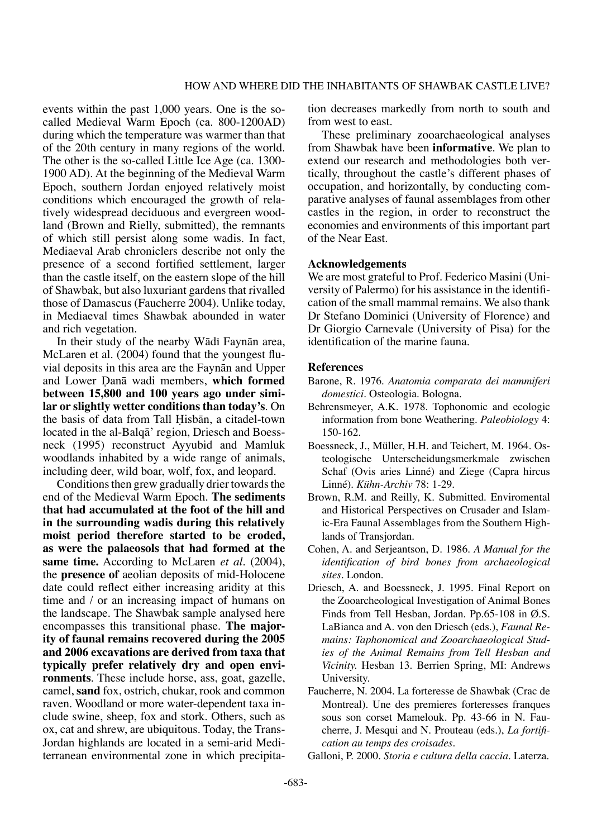events within the past 1,000 years. One is the socalled Medieval Warm Epoch (ca. 800-1200AD) during which the temperature was warmer than that of the 20th century in many regions of the world. The other is the so-called Little Ice Age (ca. 1300- 1900 AD). At the beginning of the Medieval Warm Epoch, southern Jordan enjoyed relatively moist conditions which encouraged the growth of relatively widespread deciduous and evergreen woodland (Brown and Rielly, submitted), the remnants of which still persist along some wadis. In fact, Mediaeval Arab chroniclers describe not only the presence of a second fortified settlement, larger than the castle itself, on the eastern slope of the hill of Shawbak, but also luxuriant gardens that rivalled those of Damascus (Faucherre 2004). Unlike today, in Mediaeval times Shawbak abounded in water and rich vegetation.

In their study of the nearby Wādī Faynān area, McLaren et al. (2004) found that the youngest fluvial deposits in this area are the Faynån and Upper and Lower Îanå wadi members, **which formed between 15,800 and 100 years ago under similar or slightly wetter conditions than today's**. On the basis of data from Tall Hisbān, a citadel-town located in the al-Balqå' region, Driesch and Boessneck (1995) reconstruct Ayyubid and Mamluk woodlands inhabited by a wide range of animals, including deer, wild boar, wolf, fox, and leopard.

Conditions then grew gradually drier towards the end of the Medieval Warm Epoch. **The sediments that had accumulated at the foot of the hill and in the surrounding wadis during this relatively moist period therefore started to be eroded, as were the palaeosols that had formed at the same time.** According to McLaren *et al*. (2004), the **presence of** aeolian deposits of mid-Holocene date could reflect either increasing aridity at this time and / or an increasing impact of humans on the landscape. The Shawbak sample analysed here encompasses this transitional phase. **The majority of faunal remains recovered during the 2005 and 2006 excavations are derived from taxa that typically prefer relatively dry and open environments**. These include horse, ass, goat, gazelle, camel, **sand** fox, ostrich, chukar, rook and common raven. Woodland or more water-dependent taxa include swine, sheep, fox and stork. Others, such as ox, cat and shrew, are ubiquitous. Today, the Trans-Jordan highlands are located in a semi-arid Mediterranean environmental zone in which precipitation decreases markedly from north to south and from west to east.

These preliminary zooarchaeological analyses from Shawbak have been **informative**. We plan to extend our research and methodologies both vertically, throughout the castle's different phases of occupation, and horizontally, by conducting comparative analyses of faunal assemblages from other castles in the region, in order to reconstruct the economies and environments of this important part of the Near East.

### **Acknowledgements**

We are most grateful to Prof. Federico Masini (University of Palermo) for his assistance in the identification of the small mammal remains. We also thank Dr Stefano Dominici (University of Florence) and Dr Giorgio Carnevale (University of Pisa) for the identification of the marine fauna.

# **References**

- Barone, R. 1976. *Anatomia comparata dei mammiferi domestici*. Osteologia. Bologna.
- Behrensmeyer, A.K. 1978. Tophonomic and ecologic information from bone Weathering. *Paleobiology* 4: 150-162.
- Boessneck, J., Müller, H.H. and Teichert, M. 1964. Osteologische Unterscheidungsmerkmale zwischen Schaf (Ovis aries Linné) and Ziege (Capra hircus Linné). *Kühn-Archiv* 78: 1-29.
- Brown, R.M. and Reilly, K. Submitted. Enviromental and Historical Perspectives on Crusader and Islamic-Era Faunal Assemblages from the Southern Highlands of Transjordan.
- Cohen, A. and Serjeantson, D. 1986. *A Manual for the identification of bird bones from archaeological sites.* London.
- Driesch, A. and Boessneck, J. 1995. Final Report on the Zooarcheological Investigation of Animal Bones Finds from Tell Hesban, Jordan. Pp.65-108 in Ø.S. LaBianca and A. von den Driesch (eds.), *Faunal Remains: Taphonomical and Zooarchaeological Studies of the Animal Remains from Tell Hesban and Vicinity.* Hesban 13. Berrien Spring, MI: Andrews University.
- Faucherre, N. 2004. La forteresse de Shawbak (Crac de Montreal). Une des premieres forteresses franques sous son corset Mamelouk. Pp. 43-66 in N. Faucherre, J. Mesqui and N. Prouteau (eds.), *La fortification au temps des croisades.*
- Galloni, P. 2000. *Storia e cultura della caccia*. Laterza.